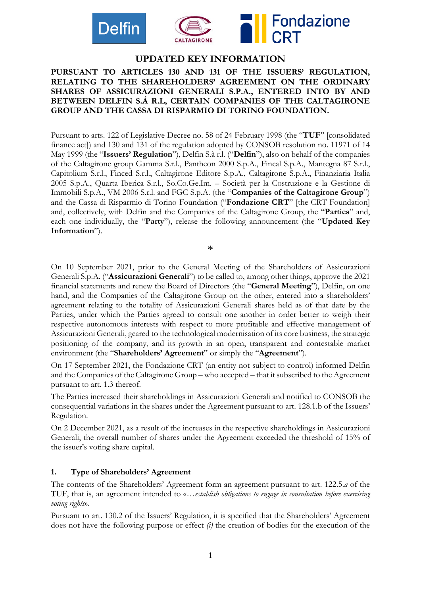



# **UPDATED KEY INFORMATION**

## **PURSUANT TO ARTICLES 130 AND 131 OF THE ISSUERS' REGULATION, RELATING TO THE SHAREHOLDERS' AGREEMENT ON THE ORDINARY SHARES OF ASSICURAZIONI GENERALI S.P.A., ENTERED INTO BY AND BETWEEN DELFIN S.Á R.L, CERTAIN COMPANIES OF THE CALTAGIRONE GROUP AND THE CASSA DI RISPARMIO DI TORINO FOUNDATION.**

Pursuant to arts. 122 of Legislative Decree no. 58 of 24 February 1998 (the "**TUF**" [consolidated finance act]) and 130 and 131 of the regulation adopted by CONSOB resolution no. 11971 of 14 May 1999 (the "**Issuers' Regulation**"), Delfin S.à r.l. ("**Delfin**"), also on behalf of the companies of the Caltagirone group Gamma S.r.l., Pantheon 2000 S.p.A., Fincal S.p.A., Mantegna 87 S.r.l., Capitolium S.r.l., Finced S.r.l., Caltagirone Editore S.p.A., Caltagirone S.p.A., Finanziaria Italia 2005 S.p.A., Quarta Iberica S.r.l., So.Co.Ge.Im. – Società per la Costruzione e la Gestione di Immobili S.p.A., VM 2006 S.r.l. and FGC S.p.A. (the "**Companies of the Caltagirone Group**") and the Cassa di Risparmio di Torino Foundation ("**Fondazione CRT**" [the CRT Foundation] and, collectively, with Delfin and the Companies of the Caltagirone Group, the "**Parties**" and, each one individually, the "**Party**"), release the following announcement (the "**Updated Key Information**").

\*

On 10 September 2021, prior to the General Meeting of the Shareholders of Assicurazioni Generali S.p.A. ("**Assicurazioni Generali**") to be called to, among other things, approve the 2021 financial statements and renew the Board of Directors (the "**General Meeting**"), Delfin, on one hand, and the Companies of the Caltagirone Group on the other, entered into a shareholders' agreement relating to the totality of Assicurazioni Generali shares held as of that date by the Parties, under which the Parties agreed to consult one another in order better to weigh their respective autonomous interests with respect to more profitable and effective management of Assicurazioni Generali, geared to the technological modernisation of its core business, the strategic positioning of the company, and its growth in an open, transparent and contestable market environment (the "**Shareholders' Agreement**" or simply the "**Agreement**").

On 17 September 2021, the Fondazione CRT (an entity not subject to control) informed Delfin and the Companies of the Caltagirone Group – who accepted – that it subscribed to the Agreement pursuant to art. 1.3 thereof.

The Parties increased their shareholdings in Assicurazioni Generali and notified to CONSOB the consequential variations in the shares under the Agreement pursuant to art. 128.1.b of the Issuers' Regulation.

On 2 December 2021, as a result of the increases in the respective shareholdings in Assicurazioni Generali, the overall number of shares under the Agreement exceeded the threshold of 15% of the issuer's voting share capital.

#### **1. Type of Shareholders' Agreement**

The contents of the Shareholders' Agreement form an agreement pursuant to art. 122.5.*a* of the TUF, that is, an agreement intended to «…*establish obligations to engage in consultation before exercising voting rights*».

Pursuant to art. 130.2 of the Issuers' Regulation, it is specified that the Shareholders' Agreement does not have the following purpose or effect *(i)* the creation of bodies for the execution of the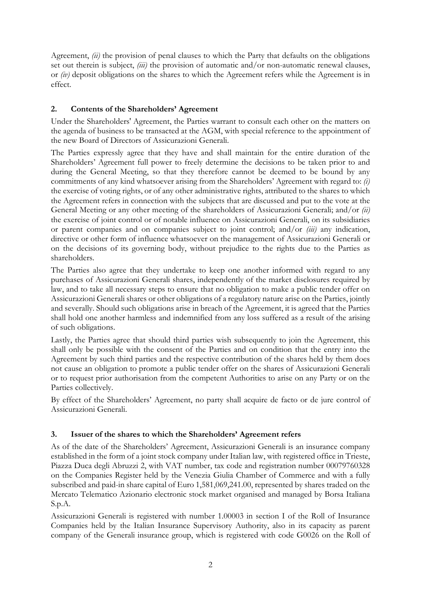Agreement, *(ii)* the provision of penal clauses to which the Party that defaults on the obligations set out therein is subject, *(iii)* the provision of automatic and/or non-automatic renewal clauses, or *(iv)* deposit obligations on the shares to which the Agreement refers while the Agreement is in effect.

# **2. Contents of the Shareholders' Agreement**

Under the Shareholders' Agreement, the Parties warrant to consult each other on the matters on the agenda of business to be transacted at the AGM, with special reference to the appointment of the new Board of Directors of Assicurazioni Generali.

The Parties expressly agree that they have and shall maintain for the entire duration of the Shareholders' Agreement full power to freely determine the decisions to be taken prior to and during the General Meeting, so that they therefore cannot be deemed to be bound by any commitments of any kind whatsoever arising from the Shareholders' Agreement with regard to: *(i)* the exercise of voting rights, or of any other administrative rights, attributed to the shares to which the Agreement refers in connection with the subjects that are discussed and put to the vote at the General Meeting or any other meeting of the shareholders of Assicurazioni Generali; and/or *(ii)* the exercise of joint control or of notable influence on Assicurazioni Generali, on its subsidiaries or parent companies and on companies subject to joint control; and/or *(iii)* any indication, directive or other form of influence whatsoever on the management of Assicurazioni Generali or on the decisions of its governing body, without prejudice to the rights due to the Parties as shareholders.

The Parties also agree that they undertake to keep one another informed with regard to any purchases of Assicurazioni Generali shares, independently of the market disclosures required by law, and to take all necessary steps to ensure that no obligation to make a public tender offer on Assicurazioni Generali shares or other obligations of a regulatory nature arise on the Parties, jointly and severally. Should such obligations arise in breach of the Agreement, it is agreed that the Parties shall hold one another harmless and indemnified from any loss suffered as a result of the arising of such obligations.

Lastly, the Parties agree that should third parties wish subsequently to join the Agreement, this shall only be possible with the consent of the Parties and on condition that the entry into the Agreement by such third parties and the respective contribution of the shares held by them does not cause an obligation to promote a public tender offer on the shares of Assicurazioni Generali or to request prior authorisation from the competent Authorities to arise on any Party or on the Parties collectively.

By effect of the Shareholders' Agreement, no party shall acquire de facto or de jure control of Assicurazioni Generali.

## **3. Issuer of the shares to which the Shareholders' Agreement refers**

As of the date of the Shareholders' Agreement, Assicurazioni Generali is an insurance company established in the form of a joint stock company under Italian law, with registered office in Trieste, Piazza Duca degli Abruzzi 2, with VAT number, tax code and registration number 00079760328 on the Companies Register held by the Venezia Giulia Chamber of Commerce and with a fully subscribed and paid-in share capital of Euro 1,581,069,241.00, represented by shares traded on the Mercato Telematico Azionario electronic stock market organised and managed by Borsa Italiana S.p.A.

Assicurazioni Generali is registered with number 1.00003 in section I of the Roll of Insurance Companies held by the Italian Insurance Supervisory Authority, also in its capacity as parent company of the Generali insurance group, which is registered with code G0026 on the Roll of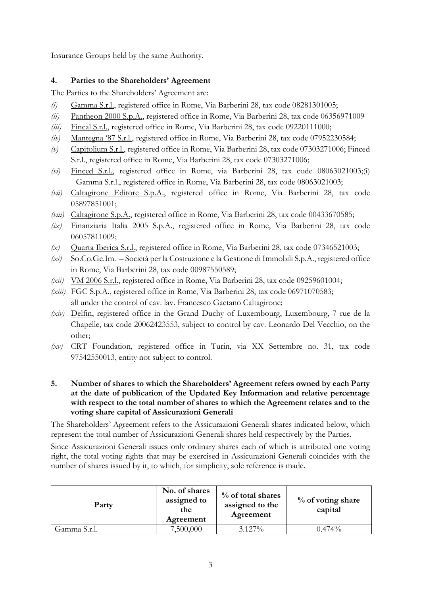Insurance Groups held by the same Authority.

## **4. Parties to the Shareholders' Agreement**

The Parties to the Shareholders' Agreement are:

- *(i)* Gamma S.r.l., registered office in Rome, Via Barberini 28, tax code 08281301005;
- *(ii)* Pantheon 2000 S.p.A., registered office in Rome, Via Barberini 28, tax code 06356971009
- *(iii)* Fincal S.r.l., registered office in Rome, Via Barberini 28, tax code 09220111000;
- *(iv)* Mantegna '87 S.r.l., registered office in Rome, Via Barberini 28, tax code 07952230584;
- *(v)* Capitolium S.r.l., registered office in Rome, Via Barberini 28, tax code 07303271006; Finced S.r.l., registered office in Rome, Via Barberini 28, tax code 07303271006;
- *(vi)* Finced S.r.l., registered office in Rome, via Barberini 28, tax code 08063021003;(i) Gamma S.r.l., registered office in Rome, Via Barberini 28, tax code 08063021003;
- *(vii)* Caltagirone Editore S.p.A., registered office in Rome, Via Barberini 28, tax code 05897851001;
- *(viii)* Caltagirone S.p.A., registered office in Rome, Via Barberini 28, tax code 00433670585;
- *(ix)* Finanziaria Italia 2005 S.p.A., registered office in Rome, Via Barberini 28, tax code 06057811009;
- *(x)* Quarta Iberica S.r.l., registered office in Rome, Via Barberini 28, tax code 07346521003;
- *(xi)* So.Co.Ge.Im. Società per la Costruzione e la Gestione di Immobili S.p.A., registered office in Rome, Via Barberini 28, tax code 00987550589;
- *(xii)* VM 2006 S.r.l., registered office in Rome, Via Barberini 28, tax code 09259601004;
- *(xiii)* FGC S.p.A., registered office in Rome, Via Barberini 28, tax code 06971070583; all under the control of cav. lav. Francesco Gaetano Caltagirone;
- *(xiv)* Delfin, registered office in the Grand Duchy of Luxembourg, Luxembourg, 7 rue de la Chapelle, tax code 20062423553, subject to control by cav. Leonardo Del Vecchio, on the other;
- *(xv)* CRT Foundation, registered office in Turin, via XX Settembre no. 31, tax code 97542550013, entity not subject to control.
- **5. Number of shares to which the Shareholders' Agreement refers owned by each Party at the date of publication of the Updated Key Information and relative percentage with respect to the total number of shares to which the Agreement relates and to the voting share capital of Assicurazioni Generali**

The Shareholders' Agreement refers to the Assicurazioni Generali shares indicated below, which represent the total number of Assicurazioni Generali shares held respectively by the Parties.

Since Assicurazioni Generali issues only ordinary shares each of which is attributed one voting right, the total voting rights that may be exercised in Assicurazioni Generali coincides with the number of shares issued by it, to which, for simplicity, sole reference is made.

| Party        | No. of shares<br>assigned to<br>the<br>Agreement | % of total shares<br>assigned to the<br>Agreement | % of voting share<br>capital |
|--------------|--------------------------------------------------|---------------------------------------------------|------------------------------|
| Gamma S.r.l. | 7,500,000                                        | $3.127\%$                                         | $0.474\%$                    |